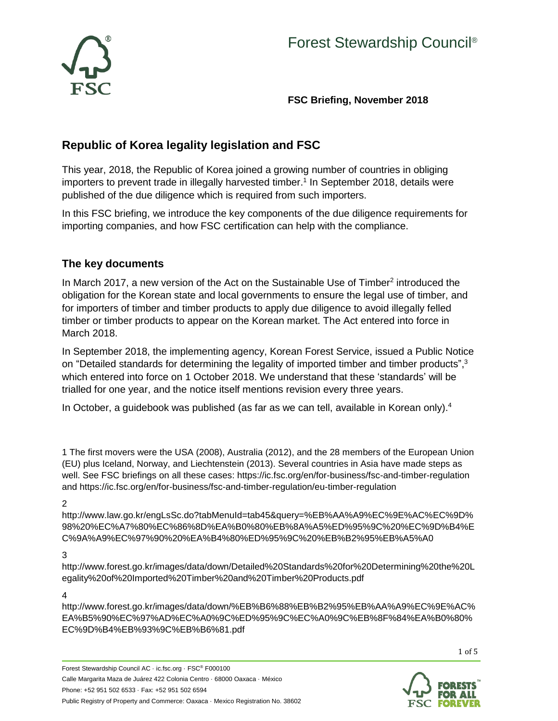

**FSC Briefing, November 2018**

# **Republic of Korea legality legislation and FSC**

This year, 2018, the Republic of Korea joined a growing number of countries in obliging importers to prevent trade in illegally harvested timber. 1 In September 2018, details were published of the due diligence which is required from such importers.

In this FSC briefing, we introduce the key components of the due diligence requirements for importing companies, and how FSC certification can help with the compliance.

### **The key documents**

In March 2017, a new version of the Act on the Sustainable Use of Timber<sup>2</sup> introduced the obligation for the Korean state and local governments to ensure the legal use of timber, and for importers of timber and timber products to apply due diligence to avoid illegally felled timber or timber products to appear on the Korean market. The Act entered into force in March 2018.

In September 2018, the implementing agency, Korean Forest Service, issued a Public Notice on "Detailed standards for determining the legality of imported timber and timber products",<sup>3</sup> which entered into force on 1 October 2018. We understand that these 'standards' will be trialled for one year, and the notice itself mentions revision every three years.

In October, a quidebook was published (as far as we can tell, available in Korean only). $4$ 

1 The first movers were the USA (2008), Australia (2012), and the 28 members of the European Union (EU) plus Iceland, Norway, and Liechtenstein (2013). Several countries in Asia have made steps as well. See FSC briefings on all these cases: <https://ic.fsc.org/en/for-business/fsc-and-timber-regulation> and<https://ic.fsc.org/en/for-business/fsc-and-timber-regulation/eu-timber-regulation>

#### 2

[http://www.law.go.kr/engLsSc.do?tabMenuId=tab45&query=%EB%AA%A9%EC%9E%AC%EC%9D%](http://www.law.go.kr/engLsSc.do?tabMenuId=tab45&query=%EB%AA%A9%EC%9E%AC%EC%9D%98%20%EC%A7%80%EC%86%8D%EA%B0%80%EB%8A%A5%ED%95%9C%20%EC%9D%B4%EC%9A%A9%EC%97%90%20%EA%B4%80%ED%95%9C%20%EB%B2%95%EB%A5%A0) [98%20%EC%A7%80%EC%86%8D%EA%B0%80%EB%8A%A5%ED%95%9C%20%EC%9D%B4%E](http://www.law.go.kr/engLsSc.do?tabMenuId=tab45&query=%EB%AA%A9%EC%9E%AC%EC%9D%98%20%EC%A7%80%EC%86%8D%EA%B0%80%EB%8A%A5%ED%95%9C%20%EC%9D%B4%EC%9A%A9%EC%97%90%20%EA%B4%80%ED%95%9C%20%EB%B2%95%EB%A5%A0) [C%9A%A9%EC%97%90%20%EA%B4%80%ED%95%9C%20%EB%B2%95%EB%A5%A0](http://www.law.go.kr/engLsSc.do?tabMenuId=tab45&query=%EB%AA%A9%EC%9E%AC%EC%9D%98%20%EC%A7%80%EC%86%8D%EA%B0%80%EB%8A%A5%ED%95%9C%20%EC%9D%B4%EC%9A%A9%EC%97%90%20%EA%B4%80%ED%95%9C%20%EB%B2%95%EB%A5%A0)

#### 3

[http://www.forest.go.kr/images/data/down/Detailed%20Standards%20for%20Determining%20the%20L](http://www.forest.go.kr/images/data/down/Detailed%20Standards%20for%20Determining%20the%20Legality%20of%20Imported%20Timber%20and%20Timber%20Products.pdf) [egality%20of%20Imported%20Timber%20and%20Timber%20Products.pdf](http://www.forest.go.kr/images/data/down/Detailed%20Standards%20for%20Determining%20the%20Legality%20of%20Imported%20Timber%20and%20Timber%20Products.pdf)

#### 4

[http://www.forest.go.kr/images/data/down/%EB%B6%88%EB%B2%95%EB%AA%A9%EC%9E%AC%](http://www.forest.go.kr/images/data/down/%EB%B6%88%EB%B2%95%EB%AA%A9%EC%9E%AC%EA%B5%90%EC%97%AD%EC%A0%9C%ED%95%9C%EC%A0%9C%EB%8F%84%EA%B0%80%EC%9D%B4%EB%93%9C%EB%B6%81.pdf) [EA%B5%90%EC%97%AD%EC%A0%9C%ED%95%9C%EC%A0%9C%EB%8F%84%EA%B0%80%](http://www.forest.go.kr/images/data/down/%EB%B6%88%EB%B2%95%EB%AA%A9%EC%9E%AC%EA%B5%90%EC%97%AD%EC%A0%9C%ED%95%9C%EC%A0%9C%EB%8F%84%EA%B0%80%EC%9D%B4%EB%93%9C%EB%B6%81.pdf) [EC%9D%B4%EB%93%9C%EB%B6%81.pdf](http://www.forest.go.kr/images/data/down/%EB%B6%88%EB%B2%95%EB%AA%A9%EC%9E%AC%EA%B5%90%EC%97%AD%EC%A0%9C%ED%95%9C%EC%A0%9C%EB%8F%84%EA%B0%80%EC%9D%B4%EB%93%9C%EB%B6%81.pdf)

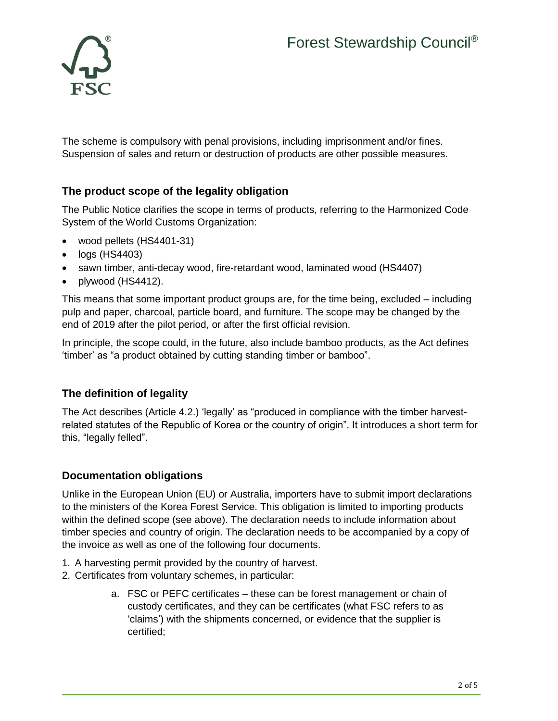

The scheme is compulsory with penal provisions, including imprisonment and/or fines. Suspension of sales and return or destruction of products are other possible measures.

# **The product scope of the legality obligation**

The Public Notice clarifies the scope in terms of products, referring to the Harmonized Code System of the World Customs Organization:

- wood pellets (HS4401-31)
- logs (HS4403)
- sawn timber, anti-decay wood, fire-retardant wood, laminated wood (HS4407)
- plywood (HS4412).

This means that some important product groups are, for the time being, excluded – including pulp and paper, charcoal, particle board, and furniture. The scope may be changed by the end of 2019 after the pilot period, or after the first official revision.

In principle, the scope could, in the future, also include bamboo products, as the Act defines 'timber' as "a product obtained by cutting standing timber or bamboo".

# **The definition of legality**

The Act describes (Article 4.2.) 'legally' as "produced in compliance with the timber harvestrelated statutes of the Republic of Korea or the country of origin". It introduces a short term for this, "legally felled".

# **Documentation obligations**

Unlike in the European Union (EU) or Australia, importers have to submit import declarations to the ministers of the Korea Forest Service. This obligation is limited to importing products within the defined scope (see above). The declaration needs to include information about timber species and country of origin. The declaration needs to be accompanied by a copy of the invoice as well as one of the following four documents.

- 1. A harvesting permit provided by the country of harvest.
- 2. Certificates from voluntary schemes, in particular:
	- a. FSC or PEFC certificates these can be forest management or chain of custody certificates, and they can be certificates (what FSC refers to as 'claims') with the shipments concerned, or evidence that the supplier is certified;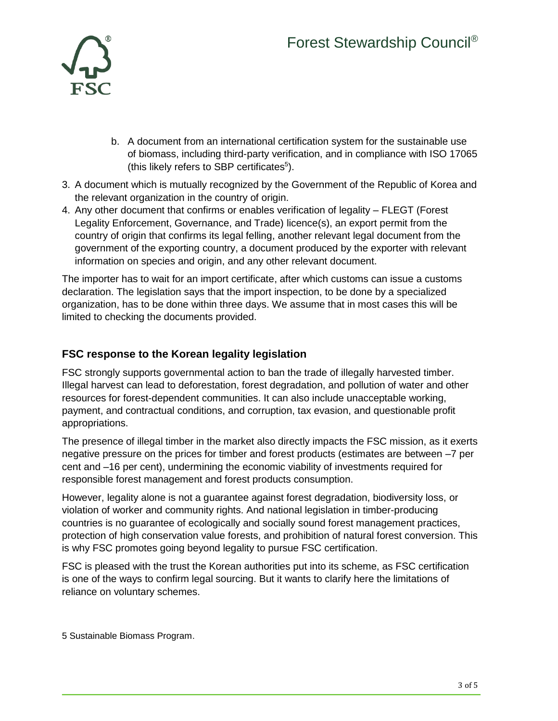

- b. A document from an international certification system for the sustainable use of biomass, including third-party verification, and in compliance with ISO 17065 (this likely refers to SBP certificates<sup>5</sup>).
- 3. A document which is mutually recognized by the Government of the Republic of Korea and the relevant organization in the country of origin.
- 4. Any other document that confirms or enables verification of legality FLEGT (Forest Legality Enforcement, Governance, and Trade) licence(s), an export permit from the country of origin that confirms its legal felling, another relevant legal document from the government of the exporting country, a document produced by the exporter with relevant information on species and origin, and any other relevant document.

The importer has to wait for an import certificate, after which customs can issue a customs declaration. The legislation says that the import inspection, to be done by a specialized organization, has to be done within three days. We assume that in most cases this will be limited to checking the documents provided.

## **FSC response to the Korean legality legislation**

FSC strongly supports governmental action to ban the trade of illegally harvested timber. Illegal harvest can lead to deforestation, forest degradation, and pollution of water and other resources for forest-dependent communities. It can also include unacceptable working, payment, and contractual conditions, and corruption, tax evasion, and questionable profit appropriations.

The presence of illegal timber in the market also directly impacts the FSC mission, as it exerts negative pressure on the prices for timber and forest products (estimates are between –7 per cent and –16 per cent), undermining the economic viability of investments required for responsible forest management and forest products consumption.

However, legality alone is not a guarantee against forest degradation, biodiversity loss, or violation of worker and community rights. And national legislation in timber-producing countries is no guarantee of ecologically and socially sound forest management practices, protection of high conservation value forests, and prohibition of natural forest conversion. This is why FSC promotes going beyond legality to pursue FSC certification.

FSC is pleased with the trust the Korean authorities put into its scheme, as FSC certification is one of the ways to confirm legal sourcing. But it wants to clarify here the limitations of reliance on voluntary schemes.

5 Sustainable Biomass Program.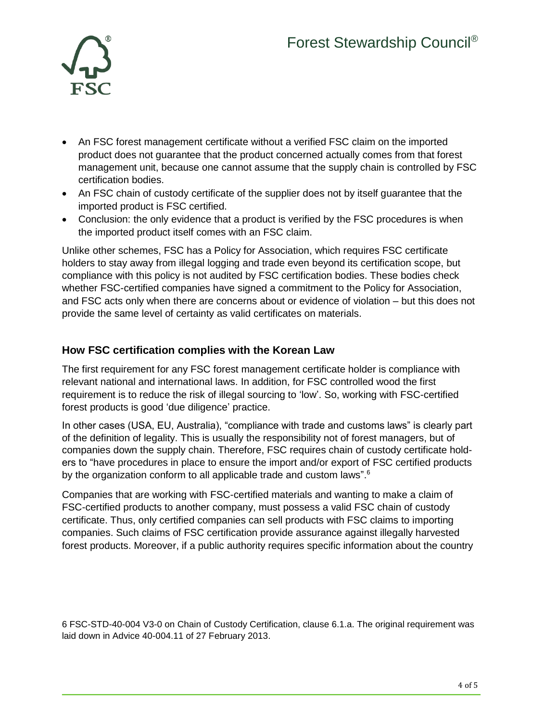

- An FSC forest management certificate without a verified FSC claim on the imported product does not guarantee that the product concerned actually comes from that forest management unit, because one cannot assume that the supply chain is controlled by FSC certification bodies.
- An FSC chain of custody certificate of the supplier does not by itself guarantee that the imported product is FSC certified.
- Conclusion: the only evidence that a product is verified by the FSC procedures is when the imported product itself comes with an FSC claim.

Unlike other schemes, FSC has a Policy for Association, which requires FSC certificate holders to stay away from illegal logging and trade even beyond its certification scope, but compliance with this policy is not audited by FSC certification bodies. These bodies check whether FSC-certified companies have signed a commitment to the Policy for Association, and FSC acts only when there are concerns about or evidence of violation – but this does not provide the same level of certainty as valid certificates on materials.

## **How FSC certification complies with the Korean Law**

The first requirement for any FSC forest management certificate holder is compliance with relevant national and international laws. In addition, for FSC controlled wood the first requirement is to reduce the risk of illegal sourcing to 'low'. So, working with FSC-certified forest products is good 'due diligence' practice.

In other cases (USA, EU, Australia), "compliance with trade and customs laws" is clearly part of the definition of legality. This is usually the responsibility not of forest managers, but of companies down the supply chain. Therefore, FSC requires chain of custody certificate holders to "have procedures in place to ensure the import and/or export of FSC certified products by the organization conform to all applicable trade and custom laws".<sup>6</sup>

Companies that are working with FSC-certified materials and wanting to make a claim of FSC-certified products to another company, must possess a valid FSC chain of custody certificate. Thus, only certified companies can sell products with FSC claims to importing companies. Such claims of FSC certification provide assurance against illegally harvested forest products. Moreover, if a public authority requires specific information about the country

6 FSC-STD-40-004 V3-0 on Chain of Custody Certification, clause 6.1.a. The original requirement was laid down in Advice 40-004.11 of 27 February 2013.